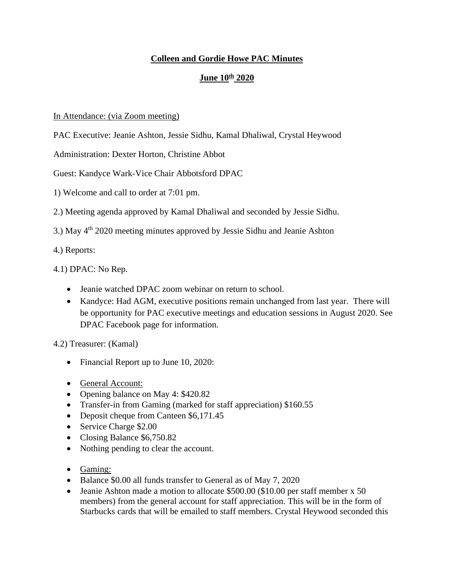## **Colleen and Gordie Howe PAC Minutes**

## **June 10th 2020**

## In Attendance: (via Zoom meeting)

PAC Executive: Jeanie Ashton, Jessie Sidhu, Kamal Dhaliwal, Crystal Heywood

Administration: Dexter Horton, Christine Abbot

Guest: Kandyce Wark-Vice Chair Abbotsford DPAC

1) Welcome and call to order at 7:01 pm.

2.) Meeting agenda approved by Kamal Dhaliwal and seconded by Jessie Sidhu.

3.) May 4th 2020 meeting minutes approved by Jessie Sidhu and Jeanie Ashton

4.) Reports:

4.1) DPAC: No Rep.

- Jeanie watched DPAC zoom webinar on return to school.
- Kandyce: Had AGM, executive positions remain unchanged from last year. There will be opportunity for PAC executive meetings and education sessions in August 2020. See DPAC Facebook page for information.

4.2) Treasurer: (Kamal)

- Financial Report up to June 10, 2020:
- General Account:
- Opening balance on May 4: \$420.82
- Transfer-in from Gaming (marked for staff appreciation) \$160.55
- Deposit cheque from Canteen \$6,171.45
- Service Charge \$2.00
- Closing Balance \$6,750.82
- Nothing pending to clear the account.
- Gaming:
- Balance \$0.00 all funds transfer to General as of May 7, 2020
- Jeanie Ashton made a motion to allocate \$500.00 (\$10.00 per staff member x 50) members) from the general account for staff appreciation. This will be in the form of Starbucks cards that will be emailed to staff members. Crystal Heywood seconded this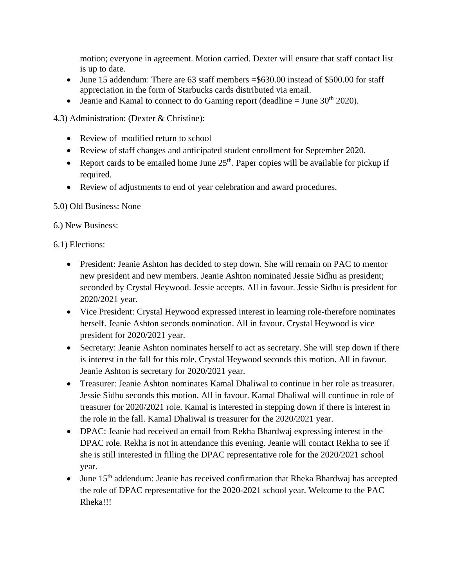motion; everyone in agreement. Motion carried. Dexter will ensure that staff contact list is up to date.

- June 15 addendum: There are 63 staff members  $= $630.00$  instead of \$500.00 for staff appreciation in the form of Starbucks cards distributed via email.
- Jeanie and Kamal to connect to do Gaming report (deadline  $=$  June 30<sup>th</sup> 2020).

4.3) Administration: (Dexter & Christine):

- Review of modified return to school
- Review of staff changes and anticipated student enrollment for September 2020.
- Report cards to be emailed home June  $25<sup>th</sup>$ . Paper copies will be available for pickup if required.
- Review of adjustments to end of year celebration and award procedures.

5.0) Old Business: None

6.) New Business:

6.1) Elections:

- President: Jeanie Ashton has decided to step down. She will remain on PAC to mentor new president and new members. Jeanie Ashton nominated Jessie Sidhu as president; seconded by Crystal Heywood. Jessie accepts. All in favour. Jessie Sidhu is president for 2020/2021 year.
- Vice President: Crystal Heywood expressed interest in learning role-therefore nominates herself. Jeanie Ashton seconds nomination. All in favour. Crystal Heywood is vice president for 2020/2021 year.
- Secretary: Jeanie Ashton nominates herself to act as secretary. She will step down if there is interest in the fall for this role. Crystal Heywood seconds this motion. All in favour. Jeanie Ashton is secretary for 2020/2021 year.
- Treasurer: Jeanie Ashton nominates Kamal Dhaliwal to continue in her role as treasurer. Jessie Sidhu seconds this motion. All in favour. Kamal Dhaliwal will continue in role of treasurer for 2020/2021 role. Kamal is interested in stepping down if there is interest in the role in the fall. Kamal Dhaliwal is treasurer for the 2020/2021 year.
- DPAC: Jeanie had received an email from Rekha Bhardwaj expressing interest in the DPAC role. Rekha is not in attendance this evening. Jeanie will contact Rekha to see if she is still interested in filling the DPAC representative role for the 2020/2021 school year.
- June  $15<sup>th</sup>$  addendum: Jeanie has received confirmation that Rheka Bhardwaj has accepted the role of DPAC representative for the 2020-2021 school year. Welcome to the PAC Rheka!!!